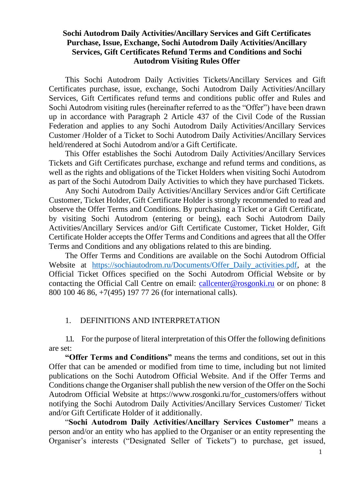## **Sochi Autodrom Daily Activities/Ancillary Services and Gift Certificates Purchase, Issue, Exchange, Sochi Autodrom Daily Activities/Ancillary Services, Gift Certificates Refund Terms and Conditions and Sochi Autodrom Visiting Rules Offer**

This Sochi Autodrom Daily Activities Tickets/Ancillary Services and Gift Certificates purchase, issue, exchange, Sochi Autodrom Daily Activities/Ancillary Services, Gift Certificates refund terms and conditions public offer and Rules and Sochi Autodrom visiting rules (hereinafter referred to as the "Offer") have been drawn up in accordance with Paragraph 2 Article 437 of the Civil Code of the Russian Federation and applies to any Sochi Autodrom Daily Activities/Ancillary Services Customer /Holder of a Ticket to Sochi Autodrom Daily Activities/Ancillary Services held/rendered at Sochi Autodrom and/or a Gift Certificate.

This Offer establishes the Sochi Autodrom Daily Activities/Ancillary Services Tickets and Gift Certificates purchase, exchange and refund terms and conditions, as well as the rights and obligations of the Ticket Holders when visiting Sochi Autodrom as part of the Sochi Autodrom Daily Activities to which they have purchased Tickets.

Any Sochi Autodrom Daily Activities/Ancillary Services and/or Gift Certificate Customer, Ticket Holder, Gift Certificate Holder is strongly recommended to read and observe the Offer Terms and Conditions. By purchasing a Ticket or a Gift Certificate, by visiting Sochi Autodrom (entering or being), each Sochi Autodrom Daily Activities/Ancillary Services and/or Gift Certificate Customer, Ticket Holder, Gift Certificate Holder accepts the Offer Terms and Conditions and agrees that all the Offer Terms and Conditions and any obligations related to this are binding.

The Offer Terms and Conditions are available on the Sochi Autodrom Official Website at https://sochiautodrom.ru/Documents/Offer Daily activities.pdf, at the Official Ticket Offices specified on the Sochi Autodrom Official Website or by contacting the Official Call Centre on email: [callcenter@rosgonki.ru](mailto:callcenter@rosgonki.ru) or on phone: 8 800 100 46 86, +7(495) 197 77 26 (for international calls).

## 1. DEFINITIONS AND INTERPRETATION

1.1. For the purpose of literal interpretation of this Offer the following definitions are set:

**"Offer Terms and Conditions"** means the terms and conditions, set out in this Offer that can be amended or modified from time to time, including but not limited publications on the Sochi Autodrom Official Website. And if the Offer Terms and Conditions change the Organiser shall publish the new version of the Offer on the Sochi Autodrom Official Website at https://www.rosgonki.ru/for\_customers/offers without notifying the Sochi Autodrom Daily Activities/Ancillary Services Customer/ Ticket and/or Gift Certificate Holder of it additionally.

"**Sochi Autodrom Daily Activities/Ancillary Services Customer"** means a person and/or an entity who has applied to the Organiser or an entity representing the Organiser's interests ("Designated Seller of Tickets") to purchase, get issued,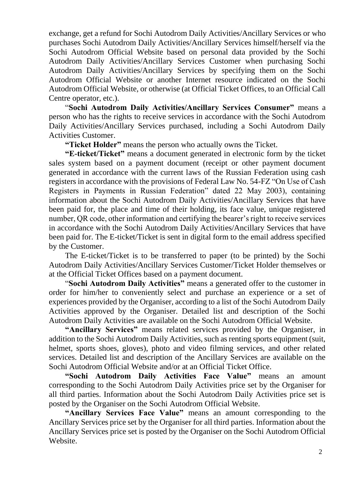exchange, get a refund for Sochi Autodrom Daily Activities/Ancillary Services or who purchases Sochi Autodrom Daily Activities/Ancillary Services himself/herself via the Sochi Autodrom Official Website based on personal data provided by the Sochi Autodrom Daily Activities/Ancillary Services Customer when purchasing Sochi Autodrom Daily Activities/Ancillary Services by specifying them on the Sochi Autodrom Official Website or another Internet resource indicated on the Sochi Autodrom Official Website, or otherwise (at Official Ticket Offices, to an Official Call Centre operator, etc.).

"**Sochi Autodrom Daily Activities/Ancillary Services Consumer"** means a person who has the rights to receive services in accordance with the Sochi Autodrom Daily Activities/Ancillary Services purchased, including a Sochi Autodrom Daily Activities Customer.

**"Ticket Holder"** means the person who actually owns the Ticket.

**"E-ticket/Ticket"** means a document generated in electronic form by the ticket sales system based on a payment document (receipt or other payment document generated in accordance with the current laws of the Russian Federation using cash registers in accordance with the provisions of Federal Law No. 54-FZ "On Use of Cash Registers in Payments in Russian Federation" dated 22 May 2003), containing information about the Sochi Autodrom Daily Activities/Ancillary Services that have been paid for, the place and time of their holding, its face value, unique registered number, QR code, other information and certifying the bearer's right to receive services in accordance with the Sochi Autodrom Daily Activities/Ancillary Services that have been paid for. The E-ticket/Ticket is sent in digital form to the email address specified by the Customer.

The E-ticket/Ticket is to be transferred to paper (to be printed) by the Sochi Autodrom Daily Activities/Ancillary Services Customer/Ticket Holder themselves or at the Official Ticket Offices based on a payment document.

"**Sochi Autodrom Daily Activities"** means a generated offer to the customer in order for him/her to conveniently select and purchase an experience or a set of experiences provided by the Organiser, according to a list of the Sochi Autodrom Daily Activities approved by the Organiser. Detailed list and description of the Sochi Autodrom Daily Activities are available on the Sochi Autodrom Official Website.

**"Ancillary Services"** means related services provided by the Organiser, in addition to the Sochi Autodrom Daily Activities, such as renting sports equipment (suit, helmet, sports shoes, gloves), photo and video filming services, and other related services. Detailed list and description of the Ancillary Services are available on the Sochi Autodrom Official Website and/or at an Official Ticket Office.

**"Sochi Autodrom Daily Activities Face Value"** means an amount corresponding to the Sochi Autodrom Daily Activities price set by the Organiser for all third parties. Information about the Sochi Autodrom Daily Activities price set is posted by the Organiser on the Sochi Autodrom Official Website.

**"Ancillary Services Face Value"** means an amount corresponding to the Ancillary Services price set by the Organiser for all third parties. Information about the Ancillary Services price set is posted by the Organiser on the Sochi Autodrom Official Website.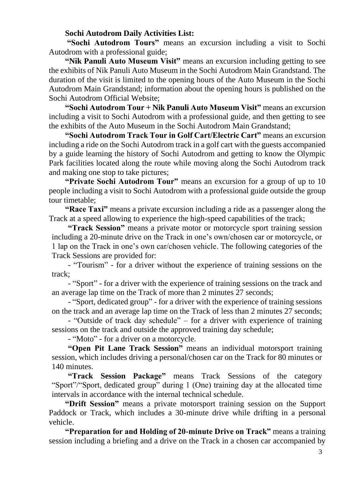#### **Sochi Autodrom Daily Activities List:**

**"Sochi Autodrom Tours"** means an excursion including a visit to Sochi Autodrom with a professional guide;

**"Nik Panuli Auto Museum Visit"** means an excursion including getting to see the exhibits of Nik Panuli Auto Museum in the Sochi Autodrom Main Grandstand. The duration of the visit is limited to the opening hours of the Auto Museum in the Sochi Autodrom Main Grandstand; information about the opening hours is published on the Sochi Autodrom Official Website;

**"Sochi Autodrom Tour + Nik Panuli Auto Museum Visit"** means an excursion including a visit to Sochi Autodrom with a professional guide, and then getting to see the exhibits of the Auto Museum in the Sochi Autodrom Main Grandstand;

**"Sochi Autodrom Track Tour in Golf Cart/Electric Cart"** means an excursion including a ride on the Sochi Autodrom track in a golf cart with the guests accompanied by a guide learning the history of Sochi Autodrom and getting to know the Olympic Park facilities located along the route while moving along the Sochi Autodrom track and making one stop to take pictures;

**"Private Sochi Autodrom Tour"** means an excursion for a group of up to 10 people including a visit to Sochi Autodrom with a professional guide outside the group tour timetable;

**"Race Taxi"** means a private excursion including a ride as a passenger along the Track at a speed allowing to experience the high-speed capabilities of the track;

**"Track Session"** means a private motor or motorcycle sport training session including a 20-minute drive on the Track in one's own/chosen car or motorcycle, or 1 lap on the Track in one's own car/chosen vehicle. The following categories of the Track Sessions are provided for:

- "Tourism" - for a driver without the experience of training sessions on the track;

- "Sport" - for a driver with the experience of training sessions on the track and an average lap time on the Track of more than 2 minutes 27 seconds;

- "Sport, dedicated group" - for a driver with the experience of training sessions on the track and an average lap time on the Track of less than 2 minutes 27 seconds;

- "Outside of track day schedule" – for a driver with experience of training sessions on the track and outside the approved training day schedule;

- "Moto" - for a driver on a motorcycle.

**"Open Pit Lane Track Session"** means an individual motorsport training session, which includes driving a personal/chosen car on the Track for 80 minutes or 140 minutes.

**"Track Session Package"** means Track Sessions of the category "Sport"/"Sport, dedicated group" during 1 (One) training day at the allocated time intervals in accordance with the internal technical schedule.

**"Drift Session"** means a private motorsport training session on the Support Paddock or Track, which includes a 30-minute drive while drifting in a personal vehicle.

**"Preparation for and Holding of 20-minute Drive on Track"** means a training session including a briefing and a drive on the Track in a chosen car accompanied by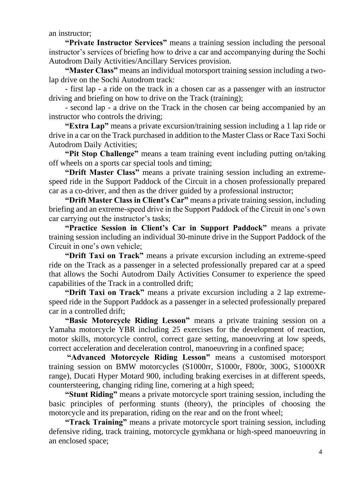an instructor;

**"Private Instructor Services"** means a training session including the personal instructor's services of briefing how to drive a car and accompanying during the Sochi Autodrom Daily Activities/Ancillary Services provision.

**"Master Class"** means an individual motorsport training session including a twolap drive on the Sochi Autodrom track:

- first lap - a ride on the track in a chosen car as a passenger with an instructor driving and briefing on how to drive on the Track (training);

- second lap - a drive on the Track in the chosen car being accompanied by an instructor who controls the driving;

**"Extra Lap"** means a private excursion/training session including a 1 lap ride or drive in a car on the Track purchased in addition to the Master Class or Race Taxi Sochi Autodrom Daily Activities;

**"Pit Stop Challenge"** means a team training event including putting on/taking off wheels on a sports car special tools and timing;

**"Drift Master Class"** means a private training session including an extremespeed ride in the Support Paddock of the Circuit in a chosen professionally prepared car as a co-driver, and then as the driver guided by a professional instructor;

**"Drift Master Class in Client's Car"** means a private training session, including briefing and an extreme-speed drive in the Support Paddock of the Circuit in one's own car carrying out the instructor's tasks;

**"Practice Session in Client's Car in Support Paddock"** means a private training session including an individual 30-minute drive in the Support Paddock of the Circuit in one's own vehicle;

**"Drift Taxi on Track"** means a private excursion including an extreme-speed ride on the Track as a passenger in a selected professionally prepared car at a speed that allows the Sochi Autodrom Daily Activities Consumer to experience the speed capabilities of the Track in a controlled drift;

**"Drift Taxi on Track"** means a private excursion including a 2 lap extremespeed ride in the Support Paddock as a passenger in a selected professionally prepared car in a controlled drift;

**"Basic Motorcycle Riding Lesson"** means a private training session on a Yamaha motorcycle YBR including 25 exercises for the development of reaction, motor skills, motorcycle control, correct gaze setting, manoeuvring at low speeds, correct acceleration and deceleration control, manoeuvring in a confined space;

**"Advanced Motorcycle Riding Lesson"** means a customised motorsport training session on BMW motorcycles (S1000rr, S1000r, F800r, 300G, S1000XR range), Ducati Hyper Motard 900, including braking exercises in at different speeds, countersteering, changing riding line, cornering at a high speed;

**"Stunt Riding"** means a private motorcycle sport training session, including the basic principles of performing stunts (theory), the principles of choosing the motorcycle and its preparation, riding on the rear and on the front wheel;

**"Track Training"** means a private motorcycle sport training session, including defensive riding, track training, motorcycle gymkhana or high-speed manoeuvring in an enclosed space;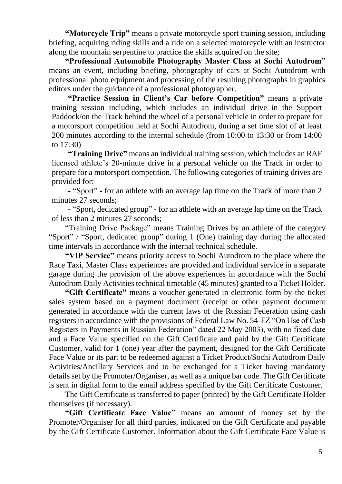**"Motorcycle Trip"** means a private motorcycle sport training session, including briefing, acquiring riding skills and a ride on a selected motorcycle with an instructor along the mountain serpentine to practice the skills acquired on the site;

**"Professional Automobile Photography Master Class at Sochi Autodrom"** means an event, including briefing, photography of cars at Sochi Autodrom with professional photo equipment and processing of the resulting photographs in graphics editors under the guidance of a professional photographer.

**"Practice Session in Client's Car before Competition"** means a private training session including, which includes an individual drive in the Support Paddock/on the Track behind the wheel of a personal vehicle in order to prepare for a motorsport competition held at Sochi Autodrom, during a set time slot of at least 200 minutes according to the internal schedule (from 10:00 to 13:30 or from 14:00 to 17:30)

**"Training Drive"** means an individual training session, which includes an RAF licensed athlete's 20-minute drive in a personal vehicle on the Track in order to prepare for a motorsport competition. The following categories of training drives are provided for:

- "Sport" - for an athlete with an average lap time on the Track of more than 2 minutes 27 seconds;

- "Sport, dedicated group" - for an athlete with an average lap time on the Track of less than 2 minutes 27 seconds;

"Training Drive Package" means Training Drives by an athlete of the category "Sport" / "Sport, dedicated group" during 1 (One) training day during the allocated time intervals in accordance with the internal technical schedule.

**"VIP Service"** means priority access to Sochi Autodrom to the place where the Race Taxi, Master Class experiences are provided and individual service in a separate garage during the provision of the above experiences in accordance with the Sochi Autodrom Daily Activities technical timetable (45 minutes) granted to a Ticket Holder.

**"Gift Certificate"** means a voucher generated in electronic form by the ticket sales system based on a payment document (receipt or other payment document generated in accordance with the current laws of the Russian Federation using cash registers in accordance with the provisions of Federal Law No. 54-FZ "On Use of Cash Registers in Payments in Russian Federation" dated 22 May 2003), with no fixed date and a Face Value specified on the Gift Certificate and paid by the Gift Certificate Customer, valid for 1 (one) year after the payment, designed for the Gift Certificate Face Value or its part to be redeemed against a Ticket Product/Sochi Autodrom Daily Activities/Ancillary Services and to be exchanged for a Ticket having mandatory details set by the Promoter/Organiser, as well as a unique bar code. The Gift Certificate is sent in digital form to the email address specified by the Gift Certificate Customer.

The Gift Certificate is transferred to paper (printed) by the Gift Certificate Holder themselves (if necessary).

**"Gift Certificate Face Value"** means an amount of money set by the Promoter/Organiser for all third parties, indicated on the Gift Certificate and payable by the Gift Certificate Customer. Information about the Gift Certificate Face Value is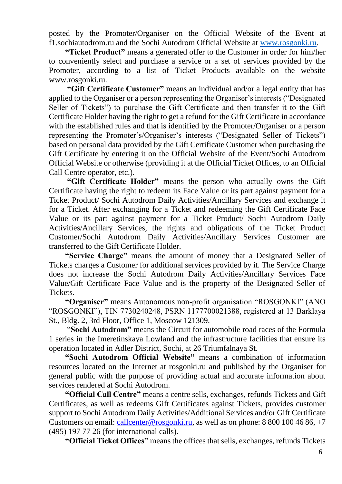posted by the Promoter/Organiser on the Official Website of the Event at f1.sochiautodrom.ru and the Sochi Autodrom Official Website at [www.rosgonki.ru.](http://www.rosgonki.ru/)

**"Ticket Product"** means a generated offer to the Customer in order for him/her to conveniently select and purchase a service or a set of services provided by the Promoter, according to a list of Ticket Products available on the website www.rosgonki.ru.

**"Gift Certificate Customer"** means an individual and/or a legal entity that has applied to the Organiser or a person representing the Organiser's interests ("Designated Seller of Tickets") to purchase the Gift Certificate and then transfer it to the Gift Certificate Holder having the right to get a refund for the Gift Certificate in accordance with the established rules and that is identified by the Promoter/Organiser or a person representing the Promoter's/Organiser's interests ("Designated Seller of Tickets") based on personal data provided by the Gift Certificate Customer when purchasing the Gift Certificate by entering it on the Official Website of the Event/Sochi Autodrom Official Website or otherwise (providing it at the Official Ticket Offices, to an Official Call Centre operator, etc.).

**"Gift Certificate Holder"** means the person who actually owns the Gift Certificate having the right to redeem its Face Value or its part against payment for a Ticket Product/ Sochi Autodrom Daily Activities/Ancillary Services and exchange it for a Ticket. After exchanging for a Ticket and redeeming the Gift Certificate Face Value or its part against payment for a Ticket Product/ Sochi Autodrom Daily Activities/Ancillary Services, the rights and obligations of the Ticket Product Customer/Sochi Autodrom Daily Activities/Ancillary Services Customer are transferred to the Gift Certificate Holder.

**"Service Charge"** means the amount of money that a Designated Seller of Tickets charges a Customer for additional services provided by it. The Service Charge does not increase the Sochi Autodrom Daily Activities/Ancillary Services Face Value/Gift Certificate Face Value and is the property of the Designated Seller of Tickets.

**"Organiser"** means Autonomous non-profit organisation "ROSGONKI" (ANO "ROSGONKI"), TIN 7730240248, PSRN 1177700021388, registered at 13 Barklaya St., Bldg. 2, 3rd Floor, Office 1, Moscow 121309.

"**Sochi Autodrom"** means the Circuit for automobile road races of the Formula 1 series in the Imeretinskaya Lowland and the infrastructure facilities that ensure its operation located in Adler District, Sochi, at 26 Triumfalnaya St.

**"Sochi Autodrom Official Website"** means a combination of information resources located on the Internet at rosgonki.ru and published by the Organiser for general public with the purpose of providing actual and accurate information about services rendered at Sochi Autodrom.

**"Official Call Centre"** means a centre sells, exchanges, refunds Tickets and Gift Certificates, as well as redeems Gift Certificates against Tickets, provides customer support to Sochi Autodrom Daily Activities/Additional Services and/or Gift Certificate Customers on email: [callcenter@rosgonki.ru,](mailto:callcenter@rosgonki.ru) as well as on phone:  $8\,800\,100\,46\,86, +7$ (495) 197 77 26 (for international calls).

**"Official Ticket Offices"** means the offices that sells, exchanges, refunds Tickets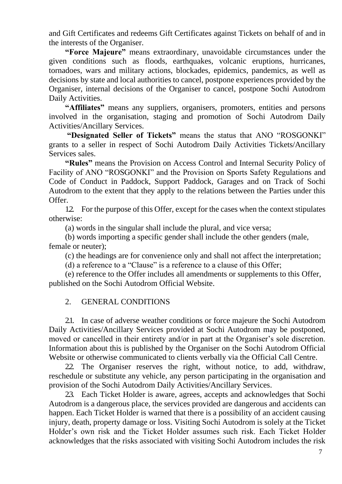and Gift Certificates and redeems Gift Certificates against Tickets on behalf of and in the interests of the Organiser.

**"Force Majeure"** means extraordinary, unavoidable circumstances under the given conditions such as floods, earthquakes, volcanic eruptions, hurricanes, tornadoes, wars and military actions, blockades, epidemics, pandemics, as well as decisions by state and local authorities to cancel, postpone experiences provided by the Organiser, internal decisions of the Organiser to cancel, postpone Sochi Autodrom Daily Activities.

**"Affiliates"** means any suppliers, organisers, promoters, entities and persons involved in the organisation, staging and promotion of Sochi Autodrom Daily Activities/Ancillary Services.

**"Designated Seller of Tickets"** means the status that ANO "ROSGONKI" grants to a seller in respect of Sochi Autodrom Daily Activities Tickets/Ancillary Services sales.

**"Rules"** means the Provision on Access Control and Internal Security Policy of Facility of ANO "ROSGONKI" and the Provision on Sports Safety Regulations and Code of Conduct in Paddock, Support Paddock, Garages and on Track of Sochi Autodrom to the extent that they apply to the relations between the Parties under this Offer.

1.2. For the purpose of this Offer, except for the cases when the context stipulates otherwise:

(a) words in the singular shall include the plural, and vice versa;

(b) words importing a specific gender shall include the other genders (male, female or neuter);

(c) the headings are for convenience only and shall not affect the interpretation;

(d) a reference to a "Clause" is a reference to a clause of this Offer;

(e) reference to the Offer includes all amendments or supplements to this Offer, published on the Sochi Autodrom Official Website.

## 2. GENERAL CONDITIONS

2.1. In case of adverse weather conditions or force majeure the Sochi Autodrom Daily Activities/Ancillary Services provided at Sochi Autodrom may be postponed, moved or cancelled in their entirety and/or in part at the Organiser's sole discretion. Information about this is published by the Organiser on the Sochi Autodrom Official Website or otherwise communicated to clients verbally via the Official Call Centre.

2.2. The Organiser reserves the right, without notice, to add, withdraw, reschedule or substitute any vehicle, any person participating in the organisation and provision of the Sochi Autodrom Daily Activities/Ancillary Services.

2.3. Each Ticket Holder is aware, agrees, accepts and acknowledges that Sochi Autodrom is a dangerous place, the services provided are dangerous and accidents can happen. Each Ticket Holder is warned that there is a possibility of an accident causing injury, death, property damage or loss. Visiting Sochi Autodrom is solely at the Ticket Holder's own risk and the Ticket Holder assumes such risk. Each Ticket Holder acknowledges that the risks associated with visiting Sochi Autodrom includes the risk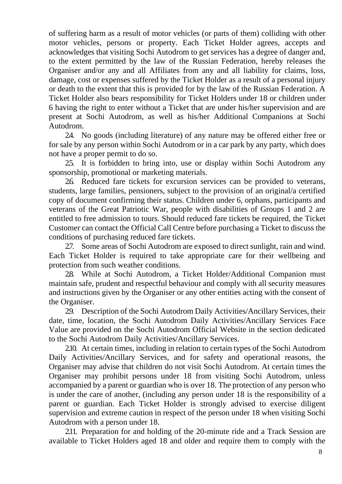of suffering harm as a result of motor vehicles (or parts of them) colliding with other motor vehicles, persons or property. Each Ticket Holder agrees, accepts and acknowledges that visiting Sochi Autodrom to get services has a degree of danger and, to the extent permitted by the law of the Russian Federation, hereby releases the Organiser and/or any and all Affiliates from any and all liability for claims, loss, damage, cost or expenses suffered by the Ticket Holder as a result of a personal injury or death to the extent that this is provided for by the law of the Russian Federation. A Ticket Holder also bears responsibility for Ticket Holders under 18 or children under 6 having the right to enter without a Ticket that are under his/her supervision and are present at Sochi Autodrom, as well as his/her Additional Companions at Sochi Autodrom.

2.4. No goods (including literature) of any nature may be offered either free or for sale by any person within Sochi Autodrom or in a car park by any party, which does not have a proper permit to do so.

2.5. It is forbidden to bring into, use or display within Sochi Autodrom any sponsorship, promotional or marketing materials.

2.6. Reduced fare tickets for excursion services can be provided to veterans, students, large families, pensioners, subject to the provision of an original/a certified copy of document confirming their status. Children under 6, orphans, participants and veterans of the Great Patriotic War, people with disabilities of Groups 1 and 2 are entitled to free admission to tours. Should reduced fare tickets be required, the Ticket Customer can contact the Official Call Centre before purchasing a Ticket to discuss the conditions of purchasing reduced fare tickets.

27. Some areas of Sochi Autodrom are exposed to direct sunlight, rain and wind. Each Ticket Holder is required to take appropriate care for their wellbeing and protection from such weather conditions.

2.8. While at Sochi Autodrom, a Ticket Holder/Additional Companion must maintain safe, prudent and respectful behaviour and comply with all security measures and instructions given by the Organiser or any other entities acting with the consent of the Organiser.

29. Description of the Sochi Autodrom Daily Activities/Ancillary Services, their date, time, location, the Sochi Autodrom Daily Activities/Ancillary Services Face Value are provided on the Sochi Autodrom Official Website in the section dedicated to the Sochi Autodrom Daily Activities/Ancillary Services.

2.10. At certain times, including in relation to certain types of the Sochi Autodrom Daily Activities/Ancillary Services, and for safety and operational reasons, the Organiser may advise that children do not visit Sochi Autodrom. At certain times the Organiser may prohibit persons under 18 from visiting Sochi Autodrom, unless accompanied by a parent or guardian who is over 18. The protection of any person who is under the care of another, (including any person under 18 is the responsibility of a parent or guardian. Each Ticket Holder is strongly advised to exercise diligent supervision and extreme caution in respect of the person under 18 when visiting Sochi Autodrom with a person under 18.

2.11. Preparation for and holding of the 20-minute ride and a Track Session are available to Ticket Holders aged 18 and older and require them to comply with the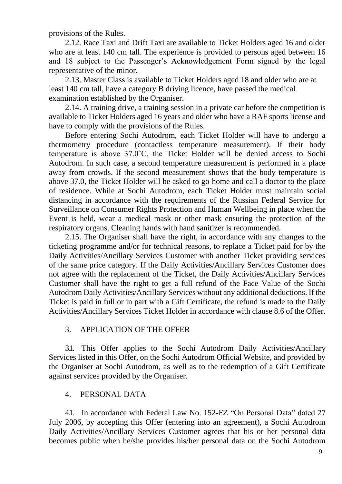provisions of the Rules.

2.12. Race Taxi and Drift Taxi are available to Ticket Holders aged 16 and older who are at least 140 cm tall. The experience is provided to persons aged between 16 and 18 subject to the Passenger's Acknowledgement Form signed by the legal representative of the minor.

2.13. Master Class is available to Ticket Holders aged 18 and older who are at least 140 cm tall, have a category B driving licence, have passed the medical examination established by the Organiser.

2.14. A training drive, a training session in a private car before the competition is available to Ticket Holders aged 16 years and older who have a RAF sports license and have to comply with the provisions of the Rules.

Before entering Sochi Autodrom, each Ticket Holder will have to undergo a thermometry procedure (contactless temperature measurement). If their body temperature is above 37.0˚С, the Ticket Holder will be denied access to Sochi Autodrom. In such case, a second temperature measurement is performed in a place away from crowds. If the second measurement shows that the body temperature is above 37.0, the Ticket Holder will be asked to go home and call a doctor to the place of residence. While at Sochi Autodrom, each Ticket Holder must maintain social distancing in accordance with the requirements of the Russian Federal Service for Surveillance on Consumer Rights Protection and Human Wellbeing in place when the Event is held, wear a medical mask or other mask ensuring the protection of the respiratory organs. Cleaning hands with hand sanitizer is recommended.

2.15. The Organiser shall have the right, in accordance with any changes to the ticketing programme and/or for technical reasons, to replace a Ticket paid for by the Daily Activities/Ancillary Services Customer with another Ticket providing services of the same price category. If the Daily Activities/Ancillary Services Customer does not agree with the replacement of the Ticket, the Daily Activities/Ancillary Services Customer shall have the right to get a full refund of the Face Value of the Sochi Autodrom Daily Activities/Ancillary Services without any additional deductions. If the Ticket is paid in full or in part with a Gift Certificate, the refund is made to the Daily Activities/Ancillary Services Ticket Holder in accordance with clause 8.6 of the Offer.

## 3. APPLICATION OF THE OFFER

3.1. This Offer applies to the Sochi Autodrom Daily Activities/Ancillary Services listed in this Offer, on the Sochi Autodrom Official Website, and provided by the Organiser at Sochi Autodrom, as well as to the redemption of a Gift Certificate against services provided by the Organiser.

# 4. PERSONAL DATA

4.1. In accordance with Federal Law No. 152-FZ "On Personal Data" dated 27 July 2006, by accepting this Offer (entering into an agreement), a Sochi Autodrom Daily Activities/Ancillary Services Customer agrees that his or her personal data becomes public when he/she provides his/her personal data on the Sochi Autodrom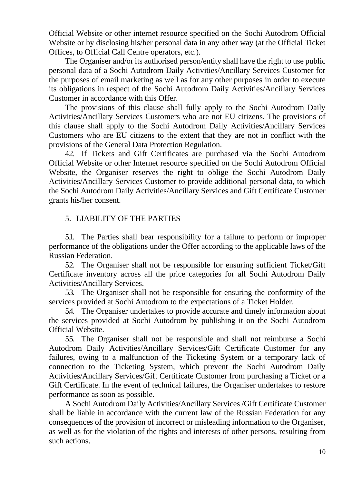Official Website or other internet resource specified on the Sochi Autodrom Official Website or by disclosing his/her personal data in any other way (at the Official Ticket Offices, to Official Call Centre operators, etc.).

The Organiser and/or its authorised person/entity shall have the right to use public personal data of a Sochi Autodrom Daily Activities/Ancillary Services Customer for the purposes of email marketing as well as for any other purposes in order to execute its obligations in respect of the Sochi Autodrom Daily Activities/Ancillary Services Customer in accordance with this Offer.

The provisions of this clause shall fully apply to the Sochi Autodrom Daily Activities/Ancillary Services Customers who are not EU citizens. The provisions of this clause shall apply to the Sochi Autodrom Daily Activities/Ancillary Services Customers who are EU citizens to the extent that they are not in conflict with the provisions of the General Data Protection Regulation.

4.2. If Tickets and Gift Certificates are purchased via the Sochi Autodrom Official Website or other Internet resource specified on the Sochi Autodrom Official Website, the Organiser reserves the right to oblige the Sochi Autodrom Daily Activities/Ancillary Services Customer to provide additional personal data, to which the Sochi Autodrom Daily Activities/Ancillary Services and Gift Certificate Customer grants his/her consent.

## 5. LIABILITY OF THE PARTIES

5.1. The Parties shall bear responsibility for a failure to perform or improper performance of the obligations under the Offer according to the applicable laws of the Russian Federation.

5.2. The Organiser shall not be responsible for ensuring sufficient Ticket/Gift Certificate inventory across all the price categories for all Sochi Autodrom Daily Activities/Ancillary Services.

5.3. The Organiser shall not be responsible for ensuring the conformity of the services provided at Sochi Autodrom to the expectations of a Ticket Holder.

5.4. The Organiser undertakes to provide accurate and timely information about the services provided at Sochi Autodrom by publishing it on the Sochi Autodrom Official Website.

5.5. The Organiser shall not be responsible and shall not reimburse a Sochi Autodrom Daily Activities/Ancillary Services/Gift Certificate Customer for any failures, owing to a malfunction of the Ticketing System or a temporary lack of connection to the Ticketing System, which prevent the Sochi Autodrom Daily Activities/Ancillary Services/Gift Certificate Customer from purchasing a Ticket or a Gift Certificate. In the event of technical failures, the Organiser undertakes to restore performance as soon as possible.

A Sochi Autodrom Daily Activities/Ancillary Services /Gift Certificate Customer shall be liable in accordance with the current law of the Russian Federation for any consequences of the provision of incorrect or misleading information to the Organiser, as well as for the violation of the rights and interests of other persons, resulting from such actions.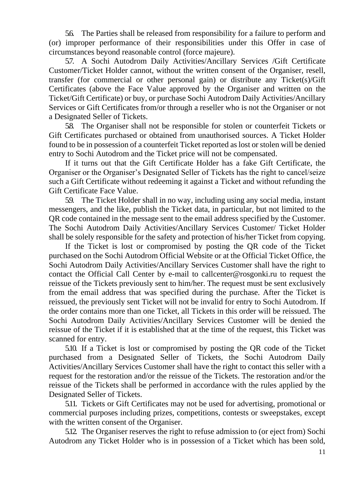5.6. The Parties shall be released from responsibility for a failure to perform and (or) improper performance of their responsibilities under this Offer in case of circumstances beyond reasonable control (force majeure).

5.7. A Sochi Autodrom Daily Activities/Ancillary Services /Gift Certificate Customer/Ticket Holder cannot, without the written consent of the Organiser, resell, transfer (for commercial or other personal gain) or distribute any Ticket(s)/Gift Certificates (above the Face Value approved by the Organiser and written on the Ticket/Gift Certificate) or buy, or purchase Sochi Autodrom Daily Activities/Ancillary Services or Gift Certificates from/or through a reseller who is not the Organiser or not a Designated Seller of Tickets.

5.8. The Organiser shall not be responsible for stolen or counterfeit Tickets or Gift Certificates purchased or obtained from unauthorised sources. A Ticket Holder found to be in possession of a counterfeit Ticket reported as lost or stolen will be denied entry to Sochi Autodrom and the Ticket price will not be compensated.

If it turns out that the Gift Certificate Holder has a fake Gift Certificate, the Organiser or the Organiser's Designated Seller of Tickets has the right to cancel/seize such a Gift Certificate without redeeming it against a Ticket and without refunding the Gift Certificate Face Value.

5.9. The Ticket Holder shall in no way, including using any social media, instant messengers, and the like, publish the Ticket data, in particular, but not limited to the QR code contained in the message sent to the email address specified by the Customer. The Sochi Autodrom Daily Activities/Ancillary Services Customer/ Ticket Holder shall be solely responsible for the safety and protection of his/her Ticket from copying.

If the Ticket is lost or compromised by posting the QR code of the Ticket purchased on the Sochi Autodrom Official Website or at the Official Ticket Office, the Sochi Autodrom Daily Activities/Ancillary Services Customer shall have the right to contact the Official Call Center by e-mail to callcenter@rosgonki.ru to request the reissue of the Tickets previously sent to him/her. The request must be sent exclusively from the email address that was specified during the purchase. After the Ticket is reissued, the previously sent Ticket will not be invalid for entry to Sochi Autodrom. If the order contains more than one Ticket, all Tickets in this order will be reissued. The Sochi Autodrom Daily Activities/Ancillary Services Customer will be denied the reissue of the Ticket if it is established that at the time of the request, this Ticket was scanned for entry.

5.10. If a Ticket is lost or compromised by posting the QR code of the Ticket purchased from a Designated Seller of Tickets, the Sochi Autodrom Daily Activities/Ancillary Services Customer shall have the right to contact this seller with a request for the restoration and/or the reissue of the Tickets. The restoration and/or the reissue of the Tickets shall be performed in accordance with the rules applied by the Designated Seller of Tickets.

5.11. Tickets or Gift Certificates may not be used for advertising, promotional or commercial purposes including prizes, competitions, contests or sweepstakes, except with the written consent of the Organiser.

5.12. The Organiser reserves the right to refuse admission to (or eject from) Sochi Autodrom any Ticket Holder who is in possession of a Ticket which has been sold,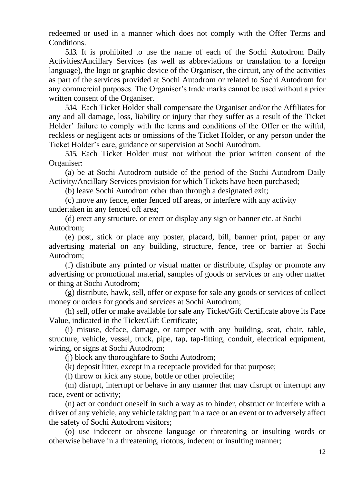redeemed or used in a manner which does not comply with the Offer Terms and Conditions.

5.13. It is prohibited to use the name of each of the Sochi Autodrom Daily Activities/Ancillary Services (as well as abbreviations or translation to a foreign language), the logo or graphic device of the Organiser, the circuit, any of the activities as part of the services provided at Sochi Autodrom or related to Sochi Autodrom for any commercial purposes. The Organiser's trade marks cannot be used without a prior written consent of the Organiser.

5.14. Each Ticket Holder shall compensate the Organiser and/or the Affiliates for any and all damage, loss, liability or injury that they suffer as a result of the Ticket Holder' failure to comply with the terms and conditions of the Offer or the wilful, reckless or negligent acts or omissions of the Ticket Holder, or any person under the Ticket Holder's care, guidance or supervision at Sochi Autodrom.

5.15. Each Ticket Holder must not without the prior written consent of the Organiser:

(a) be at Sochi Autodrom outside of the period of the Sochi Autodrom Daily Activity/Ancillary Services provision for which Tickets have been purchased;

(b) leave Sochi Autodrom other than through a designated exit;

(c) move any fence, enter fenced off areas, or interfere with any activity undertaken in any fenced off area;

(d) erect any structure, or erect or display any sign or banner etc. at Sochi Autodrom;

(e) post, stick or place any poster, placard, bill, banner print, paper or any advertising material on any building, structure, fence, tree or barrier at Sochi Autodrom;

(f) distribute any printed or visual matter or distribute, display or promote any advertising or promotional material, samples of goods or services or any other matter or thing at Sochi Autodrom;

(g) distribute, hawk, sell, offer or expose for sale any goods or services of collect money or orders for goods and services at Sochi Autodrom;

(h) sell, offer or make available for sale any Ticket/Gift Certificate above its Face Value, indicated in the Ticket/Gift Certificate;

(i) misuse, deface, damage, or tamper with any building, seat, chair, table, structure, vehicle, vessel, truck, pipe, tap, tap-fitting, conduit, electrical equipment, wiring, or signs at Sochi Autodrom;

(j) block any thoroughfare to Sochi Autodrom;

(k) deposit litter, except in a receptacle provided for that purpose;

(l) throw or kick any stone, bottle or other projectile;

(m) disrupt, interrupt or behave in any manner that may disrupt or interrupt any race, event or activity;

(n) act or conduct oneself in such a way as to hinder, obstruct or interfere with a driver of any vehicle, any vehicle taking part in a race or an event or to adversely affect the safety of Sochi Autodrom visitors;

(o) use indecent or obscene language or threatening or insulting words or otherwise behave in a threatening, riotous, indecent or insulting manner;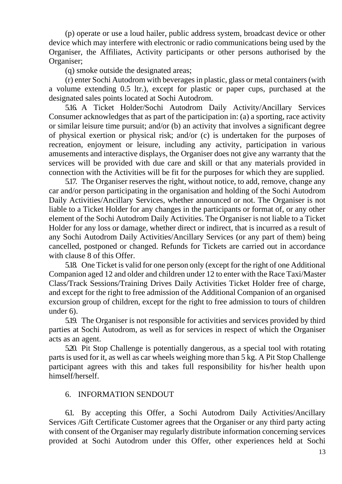(p) operate or use a loud hailer, public address system, broadcast device or other device which may interfere with electronic or radio communications being used by the Organiser, the Affiliates, Activity participants or other persons authorised by the Organiser;

(q) smoke outside the designated areas;

(r) enter Sochi Autodrom with beverages in plastic, glass or metal containers (with a volume extending 0.5 ltr.), except for plastic or paper cups, purchased at the designated sales points located at Sochi Autodrom.

5.16. A Ticket Holder/Sochi Autodrom Daily Activity/Ancillary Services Consumer acknowledges that as part of the participation in: (a) a sporting, race activity or similar leisure time pursuit; and/or (b) an activity that involves a significant degree of physical exertion or physical risk; and/or (c) is undertaken for the purposes of recreation, enjoyment or leisure, including any activity, participation in various amusements and interactive displays, the Organiser does not give any warranty that the services will be provided with due care and skill or that any materials provided in connection with the Activities will be fit for the purposes for which they are supplied.

5.17. The Organiser reserves the right, without notice, to add, remove, change any car and/or person participating in the organisation and holding of the Sochi Autodrom Daily Activities/Ancillary Services, whether announced or not. The Organiser is not liable to a Ticket Holder for any changes in the participants or format of, or any other element of the Sochi Autodrom Daily Activities. The Organiser is not liable to a Ticket Holder for any loss or damage, whether direct or indirect, that is incurred as a result of any Sochi Autodrom Daily Activities/Ancillary Services (or any part of them) being cancelled, postponed or changed. Refunds for Tickets are carried out in accordance with clause 8 of this Offer.

5.18. One Ticket is valid for one person only (except for the right of one Additional Companion aged 12 and older and children under 12 to enter with the Race Taxi/Master Class/Track Sessions/Training Drives Daily Activities Ticket Holder free of charge, and except for the right to free admission of the Additional Companion of an organised excursion group of children, except for the right to free admission to tours of children under 6).

5.19. The Organiser is not responsible for activities and services provided by third parties at Sochi Autodrom, as well as for services in respect of which the Organiser acts as an agent.

5.20. Pit Stop Challenge is potentially dangerous, as a special tool with rotating parts is used for it, as well as car wheels weighing more than 5 kg. A Pit Stop Challenge participant agrees with this and takes full responsibility for his/her health upon himself/herself.

## 6. INFORMATION SENDOUT

6.1. By accepting this Offer, a Sochi Autodrom Daily Activities/Ancillary Services /Gift Certificate Customer agrees that the Organiser or any third party acting with consent of the Organiser may regularly distribute information concerning services provided at Sochi Autodrom under this Offer, other experiences held at Sochi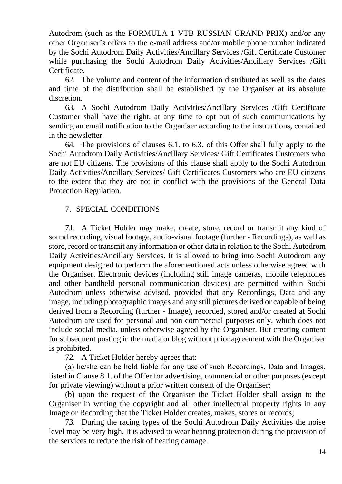Autodrom (such as the FORMULA 1 VTB RUSSIAN GRAND PRIX) and/or any other Organiser's offers to the e-mail address and/or mobile phone number indicated by the Sochi Autodrom Daily Activities/Ancillary Services /Gift Certificate Customer while purchasing the Sochi Autodrom Daily Activities/Ancillary Services /Gift Certificate.

6.2. The volume and content of the information distributed as well as the dates and time of the distribution shall be established by the Organiser at its absolute discretion.

6.3. A Sochi Autodrom Daily Activities/Ancillary Services /Gift Certificate Customer shall have the right, at any time to opt out of such communications by sending an email notification to the Organiser according to the instructions, contained in the newsletter.

6.4. The provisions of clauses 6.1. to 6.3. of this Offer shall fully apply to the Sochi Autodrom Daily Activities/Ancillary Services/ Gift Certificates Customers who are not EU citizens. The provisions of this clause shall apply to the Sochi Autodrom Daily Activities/Ancillary Services/ Gift Certificates Customers who are EU citizens to the extent that they are not in conflict with the provisions of the General Data Protection Regulation.

# 7. SPECIAL CONDITIONS

7.1. A Ticket Holder may make, create, store, record or transmit any kind of sound recording, visual footage, audio-visual footage (further - Recordings), as well as store, record or transmit any information or other data in relation to the Sochi Autodrom Daily Activities/Ancillary Services. It is allowed to bring into Sochi Autodrom any equipment designed to perform the aforementioned acts unless otherwise agreed with the Organiser. Electronic devices (including still image cameras, mobile telephones and other handheld personal communication devices) are permitted within Sochi Autodrom unless otherwise advised, provided that any Recordings, Data and any image, including photographic images and any still pictures derived or capable of being derived from a Recording (further - Image), recorded, stored and/or created at Sochi Autodrom are used for personal and non-commercial purposes only, which does not include social media, unless otherwise agreed by the Organiser. But creating content for subsequent posting in the media or blog without prior agreement with the Organiser is prohibited.

72. A Ticket Holder hereby agrees that:

(а) he/she can be held liable for any use of such Recordings, Data and Images, listed in Clause 8.1. of the Offer for advertising, commercial or other purposes (except for private viewing) without a prior written consent of the Organiser;

(b) upon the request of the Organiser the Ticket Holder shall assign to the Organiser in writing the copyright and all other intellectual property rights in any Image or Recording that the Ticket Holder creates, makes, stores or records;

7.3. During the racing types of the Sochi Autodrom Daily Activities the noise level may be very high. It is advised to wear hearing protection during the provision of the services to reduce the risk of hearing damage.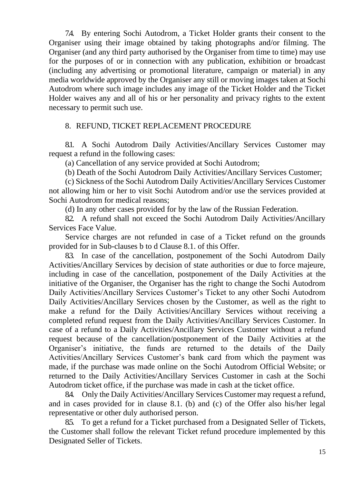7.4. By entering Sochi Autodrom, a Ticket Holder grants their consent to the Organiser using their image obtained by taking photographs and/or filming. The Organiser (and any third party authorised by the Organiser from time to time) may use for the purposes of or in connection with any publication, exhibition or broadcast (including any advertising or promotional literature, campaign or material) in any media worldwide approved by the Organiser any still or moving images taken at Sochi Autodrom where such image includes any image of the Ticket Holder and the Ticket Holder waives any and all of his or her personality and privacy rights to the extent necessary to permit such use.

#### 8. REFUND, TICKET REPLACEMENT PROCEDURE

8.1. A Sochi Autodrom Daily Activities/Ancillary Services Customer may request a refund in the following cases:

(a) Cancellation of any service provided at Sochi Autodrom;

(b) Death of the Sochi Autodrom Daily Activities/Ancillary Services Customer;

(c) Sickness of the Sochi Autodrom Daily Activities/Ancillary Services Customer not allowing him or her to visit Sochi Autodrom and/or use the services provided at Sochi Autodrom for medical reasons;

(d) In any other cases provided for by the law of the Russian Federation.

82. A refund shall not exceed the Sochi Autodrom Daily Activities/Ancillary Services Face Value.

Service charges are not refunded in case of a Ticket refund on the grounds provided for in Sub-clauses b to d Clause 8.1. of this Offer.

8.3. In case of the cancellation, postponement of the Sochi Autodrom Daily Activities/Ancillary Services by decision of state authorities or due to force majeure, including in case of the cancellation, postponement of the Daily Activities at the initiative of the Organiser, the Organiser has the right to change the Sochi Autodrom Daily Activities/Ancillary Services Customer's Ticket to any other Sochi Autodrom Daily Activities/Ancillary Services chosen by the Customer, as well as the right to make a refund for the Daily Activities/Ancillary Services without receiving a completed refund request from the Daily Activities/Ancillary Services Customer. In case of a refund to a Daily Activities/Ancillary Services Customer without a refund request because of the cancellation/postponement of the Daily Activities at the Organiser's initiative, the funds are returned to the details of the Daily Activities/Ancillary Services Customer's bank card from which the payment was made, if the purchase was made online on the Sochi Autodrom Official Website; or returned to the Daily Activities/Ancillary Services Customer in cash at the Sochi Autodrom ticket office, if the purchase was made in cash at the ticket office.

8.4. Only the Daily Activities/Ancillary Services Customer may request a refund, and in cases provided for in clause 8.1. (b) and (c) of the Offer also his/her legal representative or other duly authorised person.

8.5. To get a refund for a Ticket purchased from a Designated Seller of Tickets, the Customer shall follow the relevant Ticket refund procedure implemented by this Designated Seller of Tickets.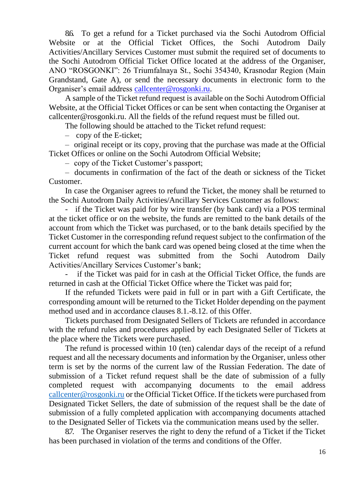8.6. To get a refund for a Ticket purchased via the Sochi Autodrom Official Website or at the Official Ticket Offices, the Sochi Autodrom Daily Activities/Ancillary Services Customer must submit the required set of documents to the Sochi Autodrom Official Ticket Office located at the address of the Organiser, ANO "ROSGONKI": 26 Triumfalnaya St., Sochi 354340, Krasnodar Region (Main Grandstand, Gate A), or send the necessary documents in electronic form to the Organiser's email address [callcenter@rosgonki.ru.](mailto:callcenter@rosgonki.ru)

A sample of the Ticket refund request is available on the Sochi Autodrom Official Website, at the Official Ticket Offices or can be sent when contacting the Organiser at [callcenter@rosgonki.ru.](mailto:callcenter@rosgonki.ru) All the fields of the refund request must be filled out.

The following should be attached to the Ticket refund request:

– copy of the E-ticket;

– original receipt or its copy, proving that the purchase was made at the Official Ticket Offices or online on the Sochi Autodrom Official Website;

– copy of the Ticket Customer's passport;

– documents in confirmation of the fact of the death or sickness of the Ticket Customer.

In case the Organiser agrees to refund the Ticket, the money shall be returned to the Sochi Autodrom Daily Activities/Ancillary Services Customer as follows:

- if the Ticket was paid for by wire transfer (by bank card) via a POS terminal at the ticket office or on the website, the funds are remitted to the bank details of the account from which the Ticket was purchased, or to the bank details specified by the Ticket Customer in the corresponding refund request subject to the confirmation of the current account for which the bank card was opened being closed at the time when the Ticket refund request was submitted from the Sochi Autodrom Daily Activities/Ancillary Services Customer's bank;

if the Ticket was paid for in cash at the Official Ticket Office, the funds are returned in cash at the Official Ticket Office where the Ticket was paid for;

If the refunded Tickets were paid in full or in part with a Gift Certificate, the corresponding amount will be returned to the Ticket Holder depending on the payment method used and in accordance clauses 8.1.-8.12. of this Offer.

Tickets purchased from Designated Sellers of Tickets are refunded in accordance with the refund rules and procedures applied by each Designated Seller of Tickets at the place where the Tickets were purchased.

The refund is processed within 10 (ten) calendar days of the receipt of a refund request and all the necessary documents and information by the Organiser, unless other term is set by the norms of the current law of the Russian Federation. The date of submission of a Ticket refund request shall be the date of submission of a fully completed request with accompanying documents to the email address [callcenter@rosgonki.ru](mailto:callcenter@rosgonki.ru) or the Official Ticket Office. If the tickets were purchased from Designated Ticket Sellers, the date of submission of the request shall be the date of submission of a fully completed application with accompanying documents attached to the Designated Seller of Tickets via the communication means used by the seller.

8.7. The Organiser reserves the right to deny the refund of a Ticket if the Ticket has been purchased in violation of the terms and conditions of the Offer.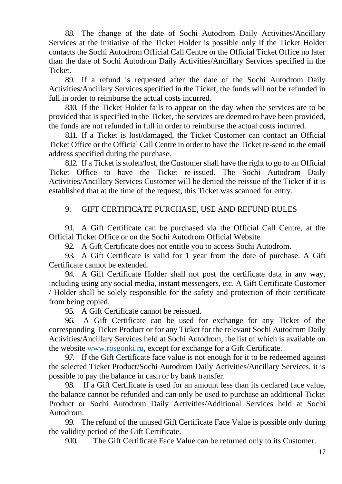8.8. The change of the date of Sochi Autodrom Daily Activities/Ancillary Services at the initiative of the Ticket Holder is possible only if the Ticket Holder contacts the Sochi Autodrom Official Call Centre or the Official Ticket Office no later than the date of Sochi Autodrom Daily Activities/Ancillary Services specified in the Ticket.

8.9. If a refund is requested after the date of the Sochi Autodrom Daily Activities/Ancillary Services specified in the Ticket, the funds will not be refunded in full in order to reimburse the actual costs incurred.

8.10. If the Ticket Holder fails to appear on the day when the services are to be provided that is specified in the Ticket, the services are deemed to have been provided, the funds are not refunded in full in order to reimburse the actual costs incurred.

8.11. If a Ticket is lost/damaged, the Ticket Customer can contact an Official Ticket Office or the Official Call Centre in order to have the Ticket re-send to the email address specified during the purchase.

8.12. If a Ticket is stolen/lost, the Customer shall have the right to go to an Official Ticket Office to have the Ticket re-issued. The Sochi Autodrom Daily Activities/Ancillary Services Customer will be denied the reissue of the Ticket if it is established that at the time of the request, this Ticket was scanned for entry.

## 9. GIFT CERTIFICATE PURCHASE, USE AND REFUND RULES

9.1. A Gift Certificate can be purchased via the Official Call Centre, at the Official Ticket Office or on the Sochi Autodrom Official Website.

92. A Gift Certificate does not entitle you to access Sochi Autodrom.

9.3. A Gift Certificate is valid for 1 year from the date of purchase. A Gift Certificate cannot be extended.

9.4. A Gift Certificate Holder shall not post the certificate data in any way, including using any social media, instant messengers, etc. A Gift Certificate Customer / Holder shall be solely responsible for the safety and protection of their certificate from being copied.

95. A Gift Certificate cannot be reissued.

9.6. A Gift Certificate can be used for exchange for any Ticket of the corresponding Ticket Product or for any Ticket for the relevant Sochi Autodrom Daily Activities/Ancillary Services held at Sochi Autodrom, the list of which is available on the website [www.rosgonki.ru,](http://www.rosgonki.ru/) except for exchange for a Gift Certificate.

9.7. If the Gift Certificate face value is not enough for it to be redeemed against the selected Ticket Product/Sochi Autodrom Daily Activities/Ancillary Services, it is possible to pay the balance in cash or by bank transfer.

9.8. If a Gift Certificate is used for an amount less than its declared face value, the balance cannot be refunded and can only be used to purchase an additional Ticket Product or Sochi Autodrom Daily Activities/Additional Services held at Sochi Autodrom.

99. The refund of the unused Gift Certificate Face Value is possible only during the validity period of the Gift Certificate.

9.10. The Gift Certificate Face Value can be returned only to its Customer.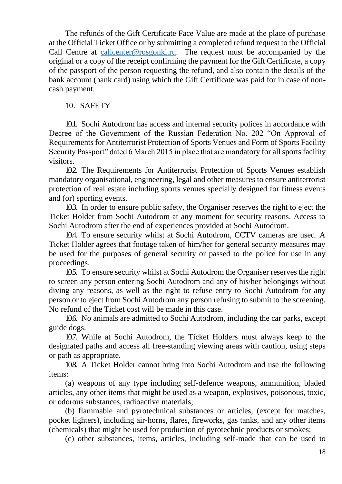The refunds of the Gift Certificate Face Value are made at the place of purchase at the Official Ticket Office or by submitting a completed refund request to the Official Call Centre at [callcenter@rosgonki.ru.](mailto:callcenter@rosgonki.ru) The request must be accompanied by the original or a copy of the receipt confirming the payment for the Gift Certificate, a copy of the passport of the person requesting the refund, and also contain the details of the bank account (bank card) using which the Gift Certificate was paid for in case of noncash payment.

## 10. SAFETY

10.1. Sochi Autodrom has access and internal security polices in accordance with Decree of the Government of the Russian Federation No. 202 "On Approval of Requirements for Antiterrorist Protection of Sports Venues and Form of Sports Facility Security Passport" dated 6 March 2015 in place that are mandatory for all sports facility visitors.

10.2. The Requirements for Antiterrorist Protection of Sports Venues establish mandatory organisational, engineering, legal and other measures to ensure antiterrorist protection of real estate including sports venues specially designed for fitness events and (or) sporting events.

10.3. In order to ensure public safety, the Organiser reserves the right to eject the Ticket Holder from Sochi Autodrom at any moment for security reasons. Access to Sochi Autodrom after the end of experiences provided at Sochi Autodrom.

10.4. To ensure security whilst at Sochi Autodrom, CCTV cameras are used. A Ticket Holder agrees that footage taken of him/her for general security measures may be used for the purposes of general security or passed to the police for use in any proceedings.

10.5. To ensure security whilst at Sochi Autodrom the Organiser reserves the right to screen any person entering Sochi Autodrom and any of his/her belongings without diving any reasons, as well as the right to refuse entry to Sochi Autodrom for any person or to eject from Sochi Autodrom any person refusing to submit to the screening. No refund of the Ticket cost will be made in this case.

10.6. No animals are admitted to Sochi Autodrom, including the car parks, except guide dogs.

10.7. While at Sochi Autodrom, the Ticket Holders must always keep to the designated paths and access all free-standing viewing areas with caution, using steps or path as appropriate.

10.8. A Ticket Holder cannot bring into Sochi Autodrom and use the following items:

(a) weapons of any type including self-defence weapons, ammunition, bladed articles, any other items that might be used as a weapon, explosives, poisonous, toxic, or odorous substances, radioactive materials;

(b) flammable and pyrotechnical substances or articles, (except for matches, pocket lighters), including air-horns, flares, fireworks, gas tanks, and any other items (chemicals) that might be used for production of pyrotechnic products or smokes;

(c) other substances, items, articles, including self-made that can be used to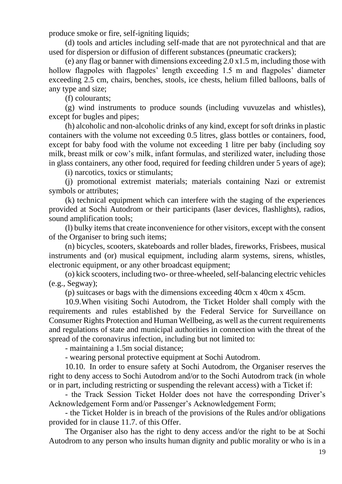produce smoke or fire, self-igniting liquids;

(d) tools and articles including self-made that are not pyrotechnical and that are used for dispersion or diffusion of different substances (pneumatic crackers);

(e) any flag or banner with dimensions exceeding 2.0 x1.5 m, including those with hollow flagpoles with flagpoles' length exceeding 1.5 m and flagpoles' diameter exceeding 2.5 cm, chairs, benches, stools, ice chests, helium filled balloons, balls of any type and size;

(f) colourants;

(g) wind instruments to produce sounds (including vuvuzelas and whistles), except for bugles and pipes;

(h) alcoholic and non-alcoholic drinks of any kind, except for soft drinks in plastic containers with the volume not exceeding 0.5 litres, glass bottles or containers, food, except for baby food with the volume not exceeding 1 litre per baby (including soy milk, breast milk or cow's milk, infant formulas, and sterilized water, including those in glass containers, any other food, required for feeding children under 5 years of age);

(i) narcotics, toxics or stimulants;

(j) promotional extremist materials; materials containing Nazi or extremist symbols or attributes;

(k) technical equipment which can interfere with the staging of the experiences provided at Sochi Autodrom or their participants (laser devices, flashlights), radios, sound amplification tools;

(l) bulky items that create inconvenience for other visitors, except with the consent of the Organiser to bring such items;

(n) bicycles, scooters, skateboards and roller blades, fireworks, Frisbees, musical instruments and (or) musical equipment, including alarm systems, sirens, whistles, electronic equipment, or any other broadcast equipment;

(o) kick scooters, including two- or three-wheeled, self-balancing electric vehicles (e.g., Segway);

(p) suitcases or bags with the dimensions exceeding 40cm x 40cm x 45cm.

10.9.When visiting Sochi Autodrom, the Ticket Holder shall comply with the requirements and rules established by the Federal Service for Surveillance on Consumer Rights Protection and Human Wellbeing, as well as the current requirements and regulations of state and municipal authorities in connection with the threat of the spread of the coronavirus infection, including but not limited to:

- maintaining a 1.5m social distance;

- wearing personal protective equipment at Sochi Autodrom.

10.10. In order to ensure safety at Sochi Autodrom, the Organiser reserves the right to deny access to Sochi Autodrom and/or to the Sochi Autodrom track (in whole or in part, including restricting or suspending the relevant access) with a Ticket if:

- the Track Session Ticket Holder does not have the corresponding Driver's Acknowledgement Form and/or Passenger's Acknowledgement Form;

- the Ticket Holder is in breach of the provisions of the Rules and/or obligations provided for in clause 11.7. of this Offer.

The Organiser also has the right to deny access and/or the right to be at Sochi Autodrom to any person who insults human dignity and public morality or who is in a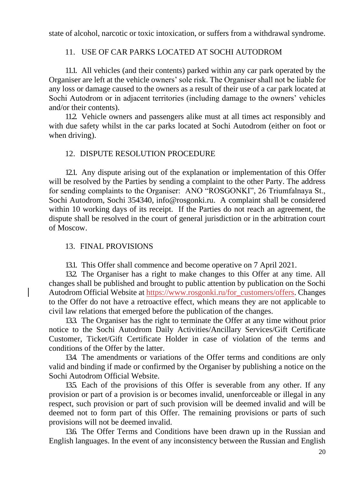state of alcohol, narcotic or toxic intoxication, or suffers from a withdrawal syndrome.

# 11. USE OF CAR PARKS LOCATED AT SOCHI AUTODROM

11.1. All vehicles (and their contents) parked within any car park operated by the Organiser are left at the vehicle owners' sole risk. The Organiser shall not be liable for any loss or damage caused to the owners as a result of their use of a car park located at Sochi Autodrom or in adjacent territories (including damage to the owners' vehicles and/or their contents).

11.2. Vehicle owners and passengers alike must at all times act responsibly and with due safety whilst in the car parks located at Sochi Autodrom (either on foot or when driving).

#### 12. DISPUTE RESOLUTION PROCEDURE

12.1. Any dispute arising out of the explanation or implementation of this Offer will be resolved by the Parties by sending a complaint to the other Party. The address for sending complaints to the Organiser: ANO "ROSGONKI", 26 Triumfalnaya St., Sochi Autodrom, Sochi 354340, info@rosgonki.ru. A complaint shall be considered within 10 working days of its receipt. If the Parties do not reach an agreement, the dispute shall be resolved in the court of general jurisdiction or in the arbitration court of Moscow.

## 13. FINAL PROVISIONS

13.1. This Offer shall commence and become operative on 7 April 2021.

132. The Organiser has a right to make changes to this Offer at any time. All changes shall be published and brought to public attention by publication on the Sochi Autodrom Official Website at [https://www.rosgonki.ru/for\\_customers/offers.](https://www.rosgonki.ru/docs/offer) Changes to the Offer do not have a retroactive effect, which means they are not applicable to civil law relations that emerged before the publication of the changes.

13.3. The Organiser has the right to terminate the Offer at any time without prior notice to the Sochi Autodrom Daily Activities/Ancillary Services/Gift Certificate Customer, Ticket/Gift Certificate Holder in case of violation of the terms and conditions of the Offer by the latter.

13.4. The amendments or variations of the Offer terms and conditions are only valid and binding if made or confirmed by the Organiser by publishing a notice on the Sochi Autodrom Official Website.

135. Each of the provisions of this Offer is severable from any other. If any provision or part of a provision is or becomes invalid, unenforceable or illegal in any respect, such provision or part of such provision will be deemed invalid and will be deemed not to form part of this Offer. The remaining provisions or parts of such provisions will not be deemed invalid.

13.6. The Offer Terms and Conditions have been drawn up in the Russian and English languages. In the event of any inconsistency between the Russian and English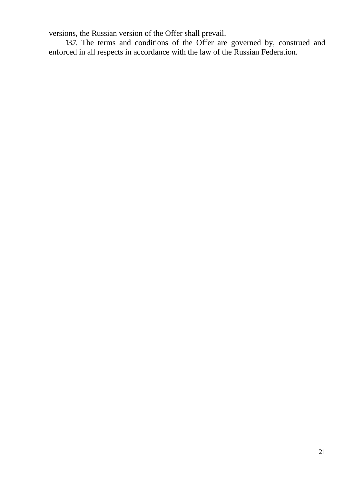versions, the Russian version of the Offer shall prevail.

13.7. The terms and conditions of the Offer are governed by, construed and enforced in all respects in accordance with the law of the Russian Federation.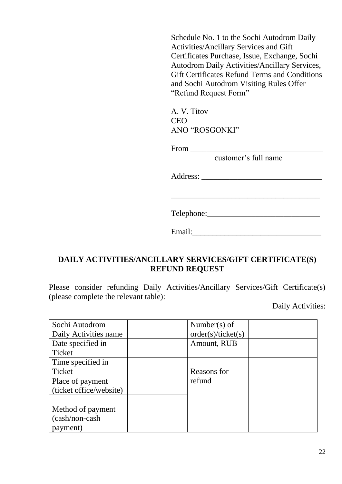Schedule No. 1 to the Sochi Autodrom Daily Activities/Ancillary Services and Gift Certificates Purchase, Issue, Exchange, Sochi Autodrom Daily Activities/Ancillary Services, Gift Certificates Refund Terms and Conditions and Sochi Autodrom Visiting Rules Offer "Refund Request Form"

A. V. Titov CEO ANO "ROSGONKI"

 $From \_\_$ 

customer's full name

Address: \_\_\_\_\_\_\_\_\_\_\_\_\_\_\_\_\_\_\_\_\_\_\_\_\_\_\_\_\_\_

Telephone:\_\_\_\_\_\_\_\_\_\_\_\_\_\_\_\_\_\_\_\_\_\_\_\_\_\_\_\_

\_\_\_\_\_\_\_\_\_\_\_\_\_\_\_\_\_\_\_\_\_\_\_\_\_\_\_\_\_\_\_\_\_\_\_\_\_

# **DAILY ACTIVITIES/ANCILLARY SERVICES/GIFT CERTIFICATE(S) REFUND REQUEST**

Please consider refunding Daily Activities/Ancillary Services/Gift Certificate(s) (please complete the relevant table):

Daily Activities:

| Sochi Autodrom          | Number(s) of       |  |
|-------------------------|--------------------|--|
| Daily Activities name   | order(s)/ticket(s) |  |
| Date specified in       | Amount, RUB        |  |
| Ticket                  |                    |  |
| Time specified in       |                    |  |
| Ticket                  | Reasons for        |  |
| Place of payment        | refund             |  |
| (ticket office/website) |                    |  |
|                         |                    |  |
| Method of payment       |                    |  |
| (cash/non-cash)         |                    |  |
| payment)                |                    |  |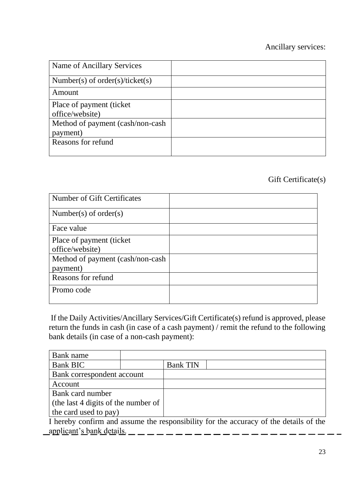# Ancillary services:

| Name of Ancillary Services       |  |
|----------------------------------|--|
| Number(s) of order(s)/ticket(s)  |  |
| Amount                           |  |
| Place of payment (ticket)        |  |
| office/website)                  |  |
| Method of payment (cash/non-cash |  |
| payment)                         |  |
| Reasons for refund               |  |
|                                  |  |

# Gift Certificate(s)

| Number of Gift Certificates      |  |
|----------------------------------|--|
| Number(s) of order(s)            |  |
| Face value                       |  |
| Place of payment (ticket)        |  |
| office/website)                  |  |
| Method of payment (cash/non-cash |  |
| payment)                         |  |
| Reasons for refund               |  |
| Promo code                       |  |
|                                  |  |

If the Daily Activities/Ancillary Services/Gift Certificate(s) refund is approved, please return the funds in cash (in case of a cash payment) / remit the refund to the following bank details (in case of a non-cash payment):

| Bank name                           |  |                 |  |
|-------------------------------------|--|-----------------|--|
| <b>Bank BIC</b>                     |  | <b>Bank TIN</b> |  |
| Bank correspondent account          |  |                 |  |
| Account                             |  |                 |  |
| Bank card number                    |  |                 |  |
| (the last 4 digits of the number of |  |                 |  |
| the card used to pay)               |  |                 |  |

I hereby confirm and assume the responsibility for the accuracy of the details of the applicant's bank details.  $\_\_$   $\_\_$   $\_\_$   $\_\_$   $\_\_$   $\_\_$   $\_\_$